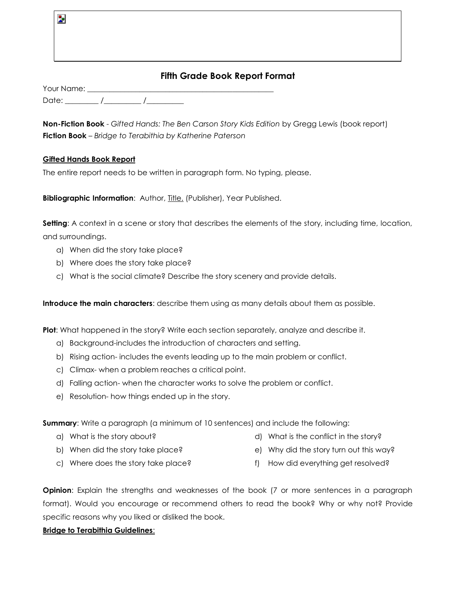# **Fifth Grade Book Report Format**

Your Name: Date: \_\_\_\_\_\_\_\_\_ /\_\_\_\_\_\_\_\_\_\_ /\_\_\_\_\_\_\_\_\_\_

**Non-Fiction Book** - *Gifted Hands: The Ben Carson Story Kids Edition* by Gregg Lewis (book report) **Fiction Book** – *Bridge to Terabithia by Katherine Paterson*

#### **Gifted Hands Book Report**

Þ

The entire report needs to be written in paragraph form. No typing, please.

**Bibliographic Information**: Author, Title. (Publisher), Year Published.

**Setting**: A context in a scene or story that describes the elements of the story, including time, location, and surroundings.

- a) When did the story take place?
- b) Where does the story take place?
- c) What is the social climate? Describe the story scenery and provide details.

**Introduce the main characters**: describe them using as many details about them as possible.

**Plot**: What happened in the story? Write each section separately, analyze and describe it.

- a) Background-includes the introduction of characters and setting.
- b) Rising action- includes the events leading up to the main problem or conflict.
- c) Climax- when a problem reaches a critical point.
- d) Falling action- when the character works to solve the problem or conflict.
- e) Resolution- how things ended up in the story.

**Summary**: Write a paragraph (a minimum of 10 sentences) and include the following:

a) What is the story about?

d) What is the conflict in the story?

b) When did the story take place?

- 
- e) Why did the story turn out this way?
- c) Where does the story take place?
- f) How did everything get resolved?

**Opinion**: Explain the strengths and weaknesses of the book (7 or more sentences in a paragraph format). Would you encourage or recommend others to read the book? Why or why not? Provide specific reasons why you liked or disliked the book.

#### **Bridge to Terabithia Guidelines**: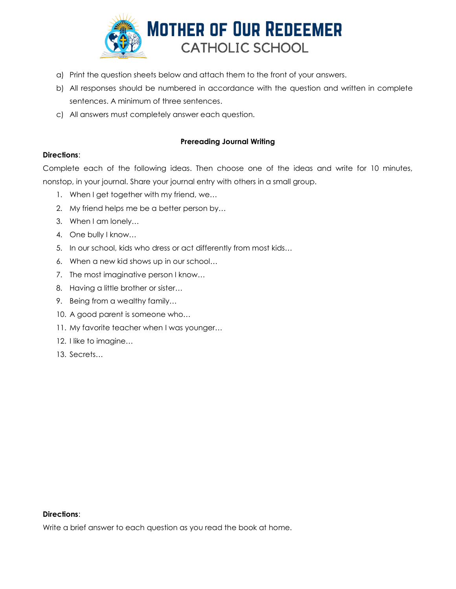

- a) Print the question sheets below and attach them to the front of your answers.
- b) All responses should be numbered in accordance with the question and written in complete sentences. A minimum of three sentences.
- c) All answers must completely answer each question.

## **Prereading Journal Writing**

### **Directions**:

Complete each of the following ideas. Then choose one of the ideas and write for 10 minutes, nonstop, in your journal. Share your journal entry with others in a small group.

- 1. When I get together with my friend, we...
- 2. My friend helps me be a better person by…
- 3. When I am lonely…
- 4. One bully I know…
- 5. In our school, kids who dress or act differently from most kids…
- 6. When a new kid shows up in our school…
- 7. The most imaginative person I know…
- 8. Having a little brother or sister…
- 9. Being from a wealthy family…
- 10. A good parent is someone who…
- 11. My favorite teacher when I was younger…
- 12. I like to imagine…
- 13. Secrets…

#### **Directions**:

Write a brief answer to each question as you read the book at home.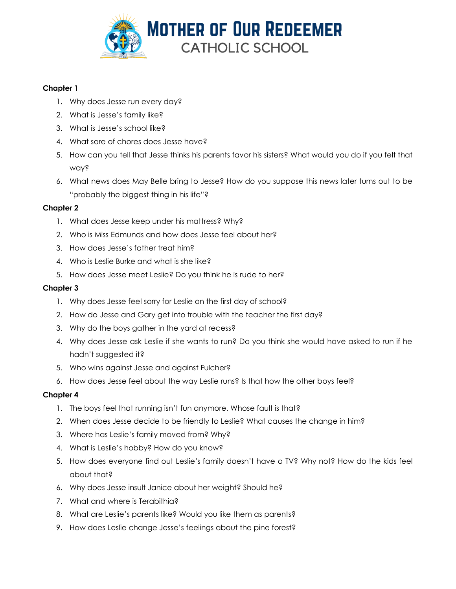

## **Chapter 1**

- 1. Why does Jesse run every day?
- 2. What is Jesse's family like?
- 3. What is Jesse's school like?
- 4. What sore of chores does Jesse have?
- 5. How can you tell that Jesse thinks his parents favor his sisters? What would you do if you felt that way?
- 6. What news does May Belle bring to Jesse? How do you suppose this news later turns out to be "probably the biggest thing in his life"?

### **Chapter 2**

- 1. What does Jesse keep under his mattress? Why?
- 2. Who is Miss Edmunds and how does Jesse feel about her?
- 3. How does Jesse's father treat him?
- 4. Who is Leslie Burke and what is she like?
- 5. How does Jesse meet Leslie? Do you think he is rude to her?

#### **Chapter 3**

- 1. Why does Jesse feel sorry for Leslie on the first day of school?
- 2. How do Jesse and Gary get into trouble with the teacher the first day?
- 3. Why do the boys gather in the yard at recess?
- 4. Why does Jesse ask Leslie if she wants to run? Do you think she would have asked to run if he hadn't suggested it?
- 5. Who wins against Jesse and against Fulcher?
- 6. How does Jesse feel about the way Leslie runs? Is that how the other boys feel?

### **Chapter 4**

- 1. The boys feel that running isn't fun anymore. Whose fault is that?
- 2. When does Jesse decide to be friendly to Leslie? What causes the change in him?
- 3. Where has Leslie's family moved from? Why?
- 4. What is Leslie's hobby? How do you know?
- 5. How does everyone find out Leslie's family doesn't have a TV? Why not? How do the kids feel about that?
- 6. Why does Jesse insult Janice about her weight? Should he?
- 7. What and where is Terabithia?
- 8. What are Leslie's parents like? Would you like them as parents?
- 9. How does Leslie change Jesse's feelings about the pine forest?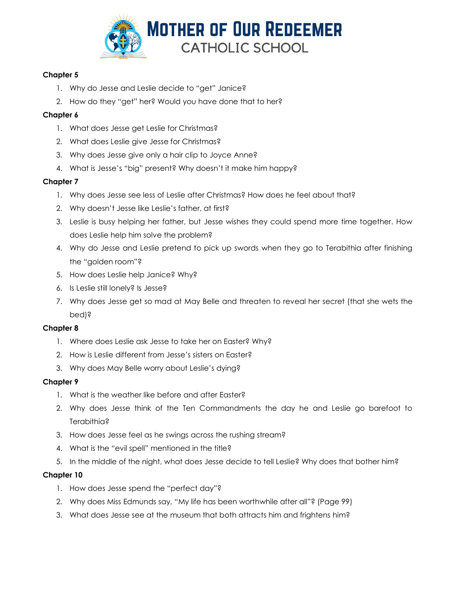

### **Chapter 5**

- 1. Why do Jesse and Leslie decide to "get" Janice?
- 2. How do they "get" her? Would you have done that to her?

### **Chapter 6**

- 1. What does Jesse get Leslie for Christmas?
- 2. What does Leslie give Jesse for Christmas?
- 3. Why does Jesse give only a hair clip to Joyce Anne?
- 4. What is Jesse's "big" present? Why doesn't it make him happy?

## **Chapter 7**

- 1. Why does Jesse see less of Leslie after Christmas? How does he feel about that?
- 2. Why doesn't Jesse like Leslie's father, at first?
- 3. Leslie is busy helping her father, but Jesse wishes they could spend more time together. How does Leslie help him solve the problem?
- 4. Why do Jesse and Leslie pretend to pick up swords when they go to Terabithia after finishing the "golden room"?
- 5. How does Leslie help Janice? Why?
- 6. Is Leslie still lonely? Is Jesse?
- 7. Why does Jesse get so mad at May Belle and threaten to reveal her secret (that she wets the bed)?

### **Chapter 8**

- 1. Where does Leslie ask Jesse to take her on Easter? Why?
- 2. How is Leslie different from Jesse's sisters on Easter?
- 3. Why does May Belle worry about Leslie's dying?

### **Chapter 9**

- 1. What is the weather like before and after Easter?
- 2. Why does Jesse think of the Ten Commandments the day he and Leslie go barefoot to Terabithia?
- 3. How does Jesse feel as he swings across the rushing stream?
- 4. What is the "evil spell" mentioned in the title?
- 5. In the middle of the night, what does Jesse decide to tell Leslie? Why does that bother him?

## **Chapter 10**

- 1. How does Jesse spend the "perfect day"?
- 2. Why does Miss Edmunds say, "My life has been worthwhile after all"? (Page 99)
- 3. What does Jesse see at the museum that both attracts him and frightens him?